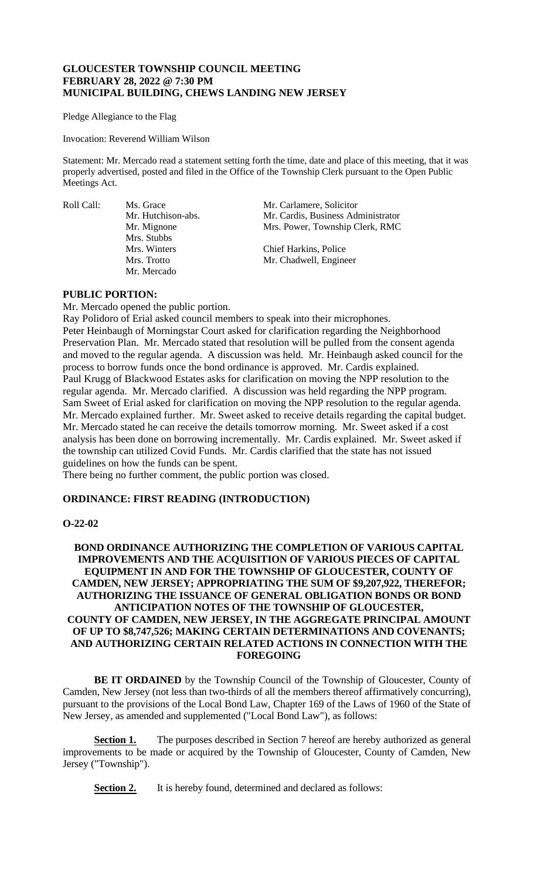## **GLOUCESTER TOWNSHIP COUNCIL MEETING FEBRUARY 28, 2022 @ 7:30 PM MUNICIPAL BUILDING, CHEWS LANDING NEW JERSEY**

Pledge Allegiance to the Flag

Invocation: Reverend William Wilson

Statement: Mr. Mercado read a statement setting forth the time, date and place of this meeting, that it was properly advertised, posted and filed in the Office of the Township Clerk pursuant to the Open Public Meetings Act.

Mrs. Stubbs Mr. Mercado

Roll Call: Ms. Grace Mr. Carlamere, Solicitor Mr. Hutchison-abs. Mr. Cardis, Business Administrator<br>Mr. Mignone Mrs. Power, Township Clerk, RMC Mrs. Power, Township Clerk, RMC

> Mrs. Winters Chief Harkins, Police<br>Mrs. Trotto Mr. Chadwell, Engine Mr. Chadwell, Engineer

# **PUBLIC PORTION:**

Mr. Mercado opened the public portion.

Ray Polidoro of Erial asked council members to speak into their microphones. Peter Heinbaugh of Morningstar Court asked for clarification regarding the Neighborhood Preservation Plan. Mr. Mercado stated that resolution will be pulled from the consent agenda and moved to the regular agenda. A discussion was held. Mr. Heinbaugh asked council for the process to borrow funds once the bond ordinance is approved. Mr. Cardis explained. Paul Krugg of Blackwood Estates asks for clarification on moving the NPP resolution to the regular agenda. Mr. Mercado clarified. A discussion was held regarding the NPP program. Sam Sweet of Erial asked for clarification on moving the NPP resolution to the regular agenda. Mr. Mercado explained further. Mr. Sweet asked to receive details regarding the capital budget. Mr. Mercado stated he can receive the details tomorrow morning. Mr. Sweet asked if a cost analysis has been done on borrowing incrementally. Mr. Cardis explained. Mr. Sweet asked if the township can utilized Covid Funds. Mr. Cardis clarified that the state has not issued guidelines on how the funds can be spent.

There being no further comment, the public portion was closed.

#### **ORDINANCE: FIRST READING (INTRODUCTION)**

#### **O-22-02**

# **BOND ORDINANCE AUTHORIZING THE COMPLETION OF VARIOUS CAPITAL IMPROVEMENTS AND THE ACQUISITION OF VARIOUS PIECES OF CAPITAL EQUIPMENT IN AND FOR THE TOWNSHIP OF GLOUCESTER, COUNTY OF CAMDEN, NEW JERSEY; APPROPRIATING THE SUM OF \$9,207,922, THEREFOR; AUTHORIZING THE ISSUANCE OF GENERAL OBLIGATION BONDS OR BOND ANTICIPATION NOTES OF THE TOWNSHIP OF GLOUCESTER, COUNTY OF CAMDEN, NEW JERSEY, IN THE AGGREGATE PRINCIPAL AMOUNT OF UP TO \$8,747,526; MAKING CERTAIN DETERMINATIONS AND COVENANTS; AND AUTHORIZING CERTAIN RELATED ACTIONS IN CONNECTION WITH THE FOREGOING**

**BE IT ORDAINED** by the Township Council of the Township of Gloucester, County of Camden, New Jersey (not less than two-thirds of all the members thereof affirmatively concurring), pursuant to the provisions of the Local Bond Law, Chapter 169 of the Laws of 1960 of the State of New Jersey, as amended and supplemented ("Local Bond Law"), as follows:

**Section 1.** The purposes described in Section 7 hereof are hereby authorized as general improvements to be made or acquired by the Township of Gloucester, County of Camden, New Jersey ("Township").

**Section 2.** It is hereby found, determined and declared as follows: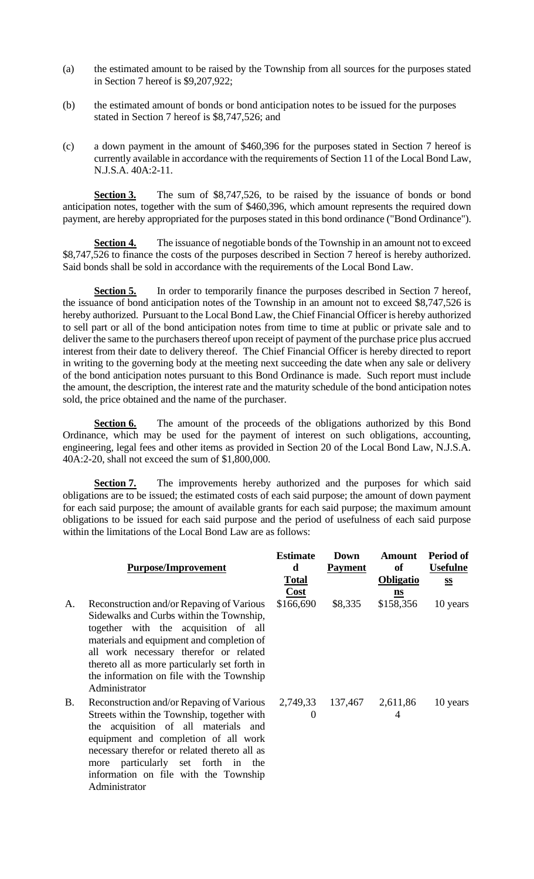- (a) the estimated amount to be raised by the Township from all sources for the purposes stated in Section 7 hereof is \$9,207,922;
- (b) the estimated amount of bonds or bond anticipation notes to be issued for the purposes stated in Section 7 hereof is \$8,747,526; and
- (c) a down payment in the amount of \$460,396 for the purposes stated in Section 7 hereof is currently available in accordance with the requirements of Section 11 of the Local Bond Law, N.J.S.A. 40A:2-11.

**Section 3.** The sum of \$8,747,526, to be raised by the issuance of bonds or bond anticipation notes, together with the sum of \$460,396, which amount represents the required down payment, are hereby appropriated for the purposes stated in this bond ordinance ("Bond Ordinance").

**Section 4.** The issuance of negotiable bonds of the Township in an amount not to exceed \$8,747,526 to finance the costs of the purposes described in Section 7 hereof is hereby authorized. Said bonds shall be sold in accordance with the requirements of the Local Bond Law.

**Section 5.** In order to temporarily finance the purposes described in Section 7 hereof, the issuance of bond anticipation notes of the Township in an amount not to exceed \$8,747,526 is hereby authorized. Pursuant to the Local Bond Law, the Chief Financial Officer is hereby authorized to sell part or all of the bond anticipation notes from time to time at public or private sale and to deliver the same to the purchasers thereof upon receipt of payment of the purchase price plus accrued interest from their date to delivery thereof. The Chief Financial Officer is hereby directed to report in writing to the governing body at the meeting next succeeding the date when any sale or delivery of the bond anticipation notes pursuant to this Bond Ordinance is made. Such report must include the amount, the description, the interest rate and the maturity schedule of the bond anticipation notes sold, the price obtained and the name of the purchaser.

**Section 6.** The amount of the proceeds of the obligations authorized by this Bond Ordinance, which may be used for the payment of interest on such obligations, accounting, engineering, legal fees and other items as provided in Section 20 of the Local Bond Law, N.J.S.A. 40A:2-20, shall not exceed the sum of \$1,800,000.

**Section 7.** The improvements hereby authorized and the purposes for which said obligations are to be issued; the estimated costs of each said purpose; the amount of down payment for each said purpose; the amount of available grants for each said purpose; the maximum amount obligations to be issued for each said purpose and the period of usefulness of each said purpose within the limitations of the Local Bond Law are as follows:

|    |                                                                                                                                                                                                                                                                                                                                     | <b>Estimate</b>      | Down             | <b>Amount</b>    | Period of       |
|----|-------------------------------------------------------------------------------------------------------------------------------------------------------------------------------------------------------------------------------------------------------------------------------------------------------------------------------------|----------------------|------------------|------------------|-----------------|
|    | <b>Purpose/Improvement</b>                                                                                                                                                                                                                                                                                                          | d                    | <b>Payment</b>   | of               | <b>Usefulne</b> |
|    |                                                                                                                                                                                                                                                                                                                                     | <b>Total</b>         |                  | <b>Obligatio</b> | S S             |
|    |                                                                                                                                                                                                                                                                                                                                     | <b>Cost</b>          |                  | $\mathbf{ns}$    |                 |
| A. | Reconstruction and/or Repaying of Various<br>Sidewalks and Curbs within the Township,<br>together with the acquisition of all<br>materials and equipment and completion of<br>all work necessary therefor or related<br>thereto all as more particularly set forth in<br>the information on file with the Township<br>Administrator | \$166,690            | \$8,335          | \$158,356        | 10 years        |
| В. | Reconstruction and/or Repaying of Various<br>Streets within the Township, together with<br>the acquisition of all materials and<br>equipment and completion of all work<br>necessary therefor or related thereto all as<br>particularly set forth<br>in<br>the<br>more<br>information on file with the Township                     | 2,749,33<br>$\theta$ | 137,467 2,611,86 | 4                | 10 years        |

Administrator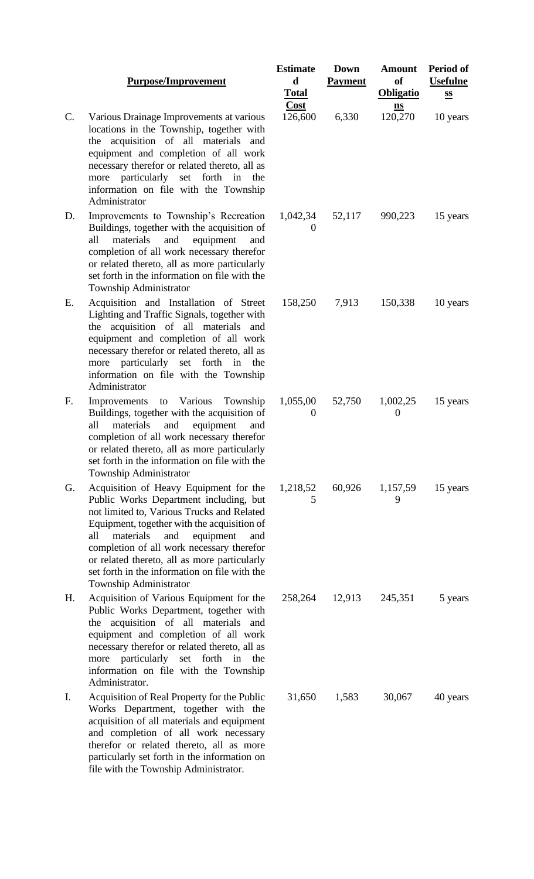### **Purpose/Improvement**

- C. Various Drainage Improvements at various locations in the Township, together with the acquisition of all materials and equipment and completion of all work necessary therefor or related thereto, all as more particularly set forth in the information on file with the Township Administrator
- D. Improvements to Township's Recreation Buildings, together with the acquisition of all materials and equipment and completion of all work necessary therefor or related thereto, all as more particularly set forth in the information on file with the Township Administrator
- E. Acquisition and Installation of Street Lighting and Traffic Signals, together with the acquisition of all materials and equipment and completion of all work necessary therefor or related thereto, all as more particularly set forth in the information on file with the Township Administrator
- F. Improvements to Various Township Buildings, together with the acquisition of all materials and equipment and completion of all work necessary therefor or related thereto, all as more particularly set forth in the information on file with the Township Administrator
- G. Acquisition of Heavy Equipment for the Public Works Department including, but not limited to, Various Trucks and Related Equipment, together with the acquisition of all materials and equipment and completion of all work necessary therefor or related thereto, all as more particularly set forth in the information on file with the Township Administrator
- H. Acquisition of Various Equipment for the Public Works Department, together with the acquisition of all materials and equipment and completion of all work necessary therefor or related thereto, all as more particularly set forth in the information on file with the Township Administrator.
- I. Acquisition of Real Property for the Public Works Department, together with the acquisition of all materials and equipment and completion of all work necessary therefor or related thereto, all as more particularly set forth in the information on file with the Township Administrator.

| <b>Estimate</b><br>$\mathbf d$<br><b>Total</b><br>Cost<br>126,600 | <b>Down</b><br><b>Payment</b><br>6,330 | <b>Amount</b><br>of<br><b>Obligatio</b><br>$\mathbf{ns}$<br>120,270 | Period of<br><b>Usefulne</b><br>$\underline{\mathbf{SS}}$<br>10 years |
|-------------------------------------------------------------------|----------------------------------------|---------------------------------------------------------------------|-----------------------------------------------------------------------|
| 1,042,34<br>$\boldsymbol{0}$                                      | 52,117                                 | 990,223                                                             | 15 years                                                              |
| 158,250                                                           | 7,913                                  | 150,338                                                             | 10 years                                                              |
| 1,055,00<br>$\boldsymbol{0}$                                      | 52,750                                 | 1,002,25<br>$\boldsymbol{0}$                                        | 15 years                                                              |
| 1,218,52<br>5                                                     | 60,926                                 | 1,157,59<br>9                                                       | 15 years                                                              |
| 258,264                                                           | 12,913                                 | 245,351                                                             | 5 years                                                               |
| 31,650                                                            | 1,583                                  | 30,067                                                              | 40 years                                                              |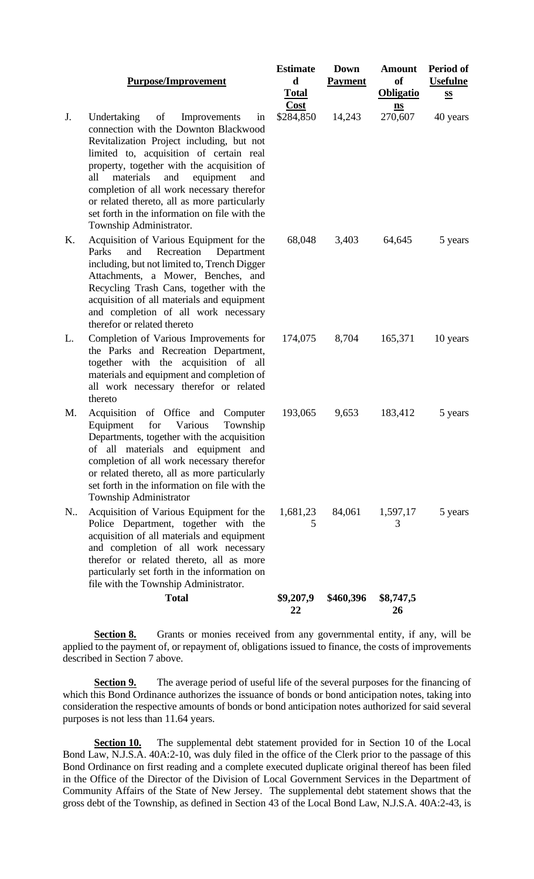### **Purpose/Improvement**

- J. Undertaking of Improvements connection with the Downton Blackwood Revitalization Project including, but n limited to, acquisition of certain re property, together with the acquisition all materials and equipment and completion of all work necessary therefore or related thereto, all as more particularly set forth in the information on file with the Township Administrator.
- K. Acquisition of Various Equipment for the Parks and Recreation Department including, but not limited to, Trench Digge Attachments, a Mower, Benches, and Recycling Trash Cans, together with th acquisition of all materials and equipment and completion of all work necessar therefor or related thereto
- L. Completion of Various Improvements fo the Parks and Recreation Department together with the acquisition of materials and equipment and completion all work necessary therefor or relate thereto
- M. Acquisition of Office and Computer Equipment for Various Townsh Departments, together with the acquisition of all materials and equipment an completion of all work necessary therefore or related thereto, all as more particularl set forth in the information on file with the Township Administrator
- N.. Acquisition of Various Equipment for the Police Department, together with the acquisition of all materials and equipment and completion of all work necessar therefor or related thereto, all as more particularly set forth in the information on file with the Township Administrator.

|--|--|

|                                                        | <b>Estimate</b><br>d<br><b>Total</b> | <b>Down</b><br><b>Payment</b> | <b>Amount</b><br>of<br><b>Obligatio</b> | Period of<br><b>Usefulne</b><br>$S_{\mathbf{S}}$ |
|--------------------------------------------------------|--------------------------------------|-------------------------------|-----------------------------------------|--------------------------------------------------|
| in<br>od<br>ıot<br>eal<br>of<br>nd<br>or:<br>rly<br>he | Cost<br>\$284,850 14,243             |                               | $\underline{\mathbf{ns}}$<br>270,607    | 40 years                                         |
| he<br>ent<br>er<br>nd<br>he<br>ent<br>ıry              | 68,048                               | 3,403                         | 64,645                                  | 5 years                                          |
| or<br>nt,<br>all<br>of<br>ed                           | 174,075                              | 8,704                         | 165,371                                 | 10 years                                         |
| ter<br>iip<br>on<br>nd<br>or<br>rly<br>he              | 193,065                              | 9,653                         | 183,412                                 | 5 years                                          |
| he<br>he<br>ent<br>ıry<br>re<br>on                     | 1,681,23<br>5                        | 84,061                        | 1,597,17<br>3                           | 5 years                                          |

**Period of**

**Total \$9,207,9 22 \$460,396 \$8,747,5 26**

**Section 8.** Grants or monies received from any governmental entity, if any, will be applied to the payment of, or repayment of, obligations issued to finance, the costs of improvements described in Section 7 above.

**Section 9.** The average period of useful life of the several purposes for the financing of which this Bond Ordinance authorizes the issuance of bonds or bond anticipation notes, taking into consideration the respective amounts of bonds or bond anticipation notes authorized for said several purposes is not less than 11.64 years.

**Section 10.** The supplemental debt statement provided for in Section 10 of the Local Bond Law, N.J.S.A. 40A:2-10, was duly filed in the office of the Clerk prior to the passage of this Bond Ordinance on first reading and a complete executed duplicate original thereof has been filed in the Office of the Director of the Division of Local Government Services in the Department of Community Affairs of the State of New Jersey. The supplemental debt statement shows that the gross debt of the Township, as defined in Section 43 of the Local Bond Law, N.J.S.A. 40A:2-43, is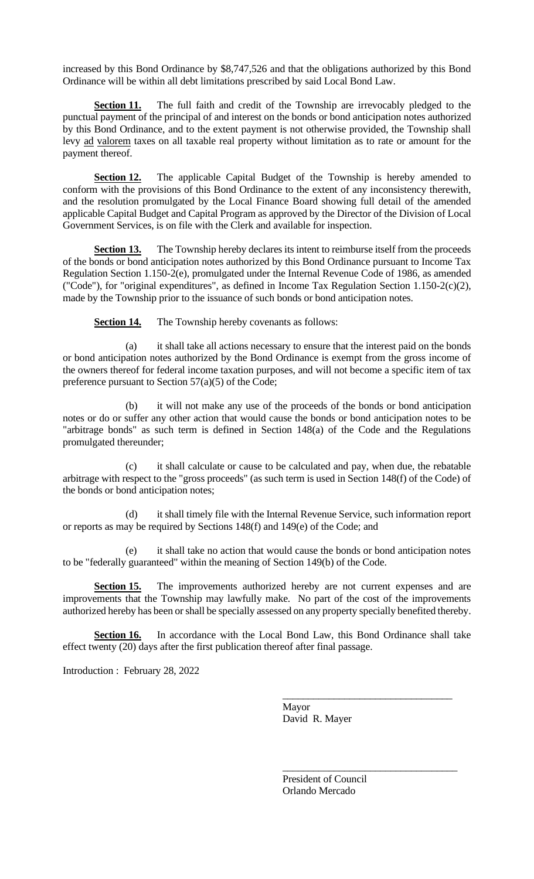increased by this Bond Ordinance by \$8,747,526 and that the obligations authorized by this Bond Ordinance will be within all debt limitations prescribed by said Local Bond Law.

**Section 11.** The full faith and credit of the Township are irrevocably pledged to the punctual payment of the principal of and interest on the bonds or bond anticipation notes authorized by this Bond Ordinance, and to the extent payment is not otherwise provided, the Township shall levy ad valorem taxes on all taxable real property without limitation as to rate or amount for the payment thereof.

**Section 12.** The applicable Capital Budget of the Township is hereby amended to conform with the provisions of this Bond Ordinance to the extent of any inconsistency therewith, and the resolution promulgated by the Local Finance Board showing full detail of the amended applicable Capital Budget and Capital Program as approved by the Director of the Division of Local Government Services, is on file with the Clerk and available for inspection.

**Section 13.** The Township hereby declares its intent to reimburse itself from the proceeds of the bonds or bond anticipation notes authorized by this Bond Ordinance pursuant to Income Tax Regulation Section 1.150-2(e), promulgated under the Internal Revenue Code of 1986, as amended ("Code"), for "original expenditures", as defined in Income Tax Regulation Section 1.150-2(c)(2), made by the Township prior to the issuance of such bonds or bond anticipation notes.

**Section 14.** The Township hereby covenants as follows:

(a) it shall take all actions necessary to ensure that the interest paid on the bonds or bond anticipation notes authorized by the Bond Ordinance is exempt from the gross income of the owners thereof for federal income taxation purposes, and will not become a specific item of tax preference pursuant to Section 57(a)(5) of the Code;

(b) it will not make any use of the proceeds of the bonds or bond anticipation notes or do or suffer any other action that would cause the bonds or bond anticipation notes to be "arbitrage bonds" as such term is defined in Section 148(a) of the Code and the Regulations promulgated thereunder;

(c) it shall calculate or cause to be calculated and pay, when due, the rebatable arbitrage with respect to the "gross proceeds" (as such term is used in Section 148(f) of the Code) of the bonds or bond anticipation notes;

(d) it shall timely file with the Internal Revenue Service, such information report or reports as may be required by Sections 148(f) and 149(e) of the Code; and

(e) it shall take no action that would cause the bonds or bond anticipation notes to be "federally guaranteed" within the meaning of Section 149(b) of the Code.

**Section 15.** The improvements authorized hereby are not current expenses and are improvements that the Township may lawfully make. No part of the cost of the improvements authorized hereby has been or shall be specially assessed on any property specially benefited thereby.

**Section 16.** In accordance with the Local Bond Law, this Bond Ordinance shall take effect twenty (20) days after the first publication thereof after final passage.

Introduction : February 28, 2022

Mayor David R. Mayer

\_\_\_\_\_\_\_\_\_\_\_\_\_\_\_\_\_\_\_\_\_\_\_\_\_\_\_\_\_\_\_\_\_

\_\_\_\_\_\_\_\_\_\_\_\_\_\_\_\_\_\_\_\_\_\_\_\_\_\_\_\_\_\_\_\_\_\_

President of Council Orlando Mercado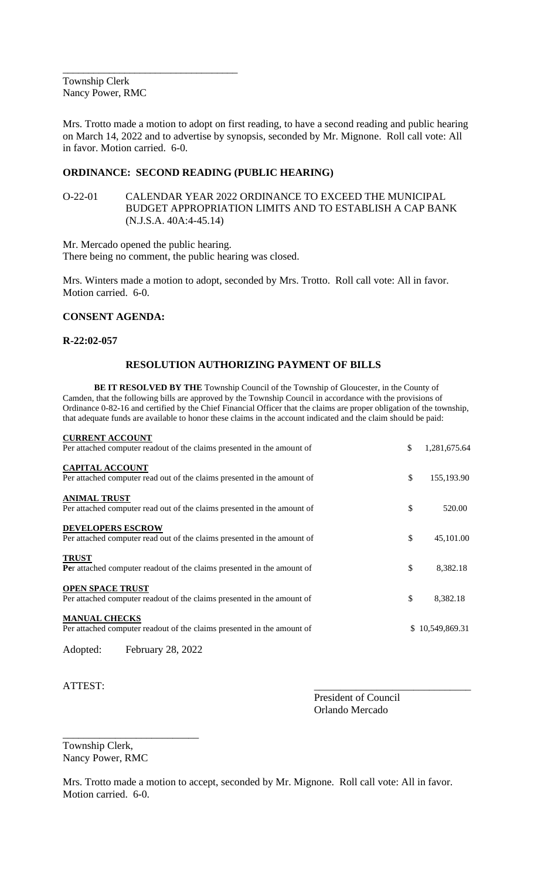\_\_\_\_\_\_\_\_\_\_\_\_\_\_\_\_\_\_\_\_\_\_\_\_\_\_\_\_\_\_\_\_\_\_ Township Clerk Nancy Power, RMC

Mrs. Trotto made a motion to adopt on first reading, to have a second reading and public hearing on March 14, 2022 and to advertise by synopsis, seconded by Mr. Mignone. Roll call vote: All in favor. Motion carried. 6-0.

# **ORDINANCE: SECOND READING (PUBLIC HEARING)**

O-22-01 CALENDAR YEAR 2022 ORDINANCE TO EXCEED THE MUNICIPAL BUDGET APPROPRIATION LIMITS AND TO ESTABLISH A CAP BANK (N.J.S.A. 40A:4-45.14)

Mr. Mercado opened the public hearing. There being no comment, the public hearing was closed.

Mrs. Winters made a motion to adopt, seconded by Mrs. Trotto. Roll call vote: All in favor. Motion carried. 6-0.

# **CONSENT AGENDA:**

### **R-22:02-057**

# **RESOLUTION AUTHORIZING PAYMENT OF BILLS**

**BE IT RESOLVED BY THE** Township Council of the Township of Gloucester, in the County of Camden, that the following bills are approved by the Township Council in accordance with the provisions of Ordinance 0-82-16 and certified by the Chief Financial Officer that the claims are proper obligation of the township, that adequate funds are available to honor these claims in the account indicated and the claim should be paid:

| <b>CURRENT ACCOUNT</b>                                                                              |                    |
|-----------------------------------------------------------------------------------------------------|--------------------|
| Per attached computer readout of the claims presented in the amount of                              | \$<br>1,281,675.64 |
| <b>CAPITAL ACCOUNT</b><br>Per attached computer read out of the claims presented in the amount of   | \$<br>155,193.90   |
| <b>ANIMAL TRUST</b><br>Per attached computer read out of the claims presented in the amount of      | \$<br>520.00       |
| <b>DEVELOPERS ESCROW</b><br>Per attached computer read out of the claims presented in the amount of | \$<br>45,101.00    |
| <b>TRUST</b><br>Per attached computer readout of the claims presented in the amount of              | \$<br>8,382.18     |
| <b>OPEN SPACE TRUST</b><br>Per attached computer readout of the claims presented in the amount of   | \$<br>8,382.18     |
| <b>MANUAL CHECKS</b><br>Per attached computer readout of the claims presented in the amount of      | \$10,549,869.31    |
| February 28, 2022<br>Adopted:                                                                       |                    |

ATTEST:

President of Council Orlando Mercado

Township Clerk, Nancy Power, RMC

\_\_\_\_\_\_\_\_\_\_\_\_\_\_\_\_\_\_\_\_\_\_\_\_\_\_

Mrs. Trotto made a motion to accept, seconded by Mr. Mignone. Roll call vote: All in favor. Motion carried. 6-0.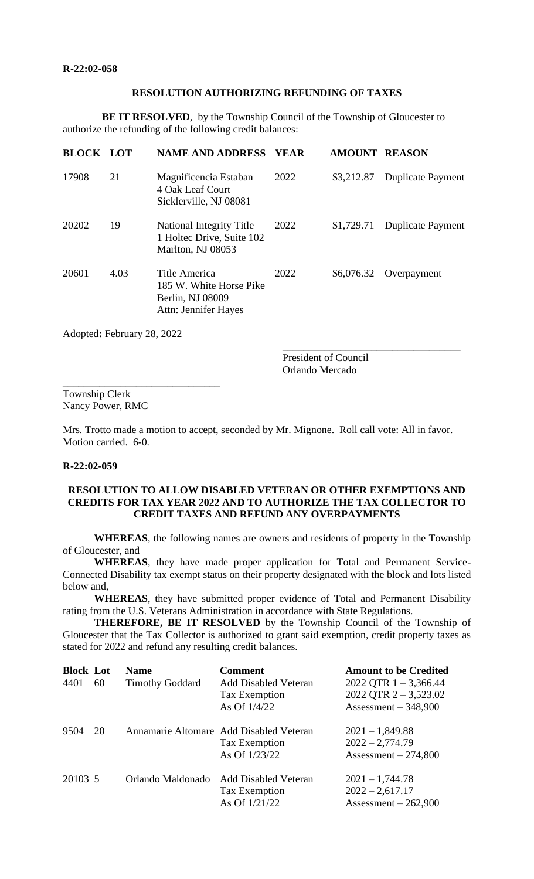#### **RESOLUTION AUTHORIZING REFUNDING OF TAXES**

**BE IT RESOLVED**, by the Township Council of the Township of Gloucester to authorize the refunding of the following credit balances:

| <b>BLOCK LOT</b> |      | <b>NAME AND ADDRESS</b>                                                              | <b>YEAR</b> | <b>AMOUNT REASON</b> |                          |
|------------------|------|--------------------------------------------------------------------------------------|-------------|----------------------|--------------------------|
| 17908            | 21   | Magnificencia Estaban<br>4 Oak Leaf Court<br>Sicklerville, NJ 08081                  | 2022        | \$3,212.87           | <b>Duplicate Payment</b> |
| 20202            | 19   | <b>National Integrity Title</b><br>1 Holtec Drive, Suite 102<br>Marlton, NJ 08053    | 2022        | \$1,729.71           | <b>Duplicate Payment</b> |
| 20601            | 4.03 | Title America<br>185 W. White Horse Pike<br>Berlin, NJ 08009<br>Attn: Jennifer Hayes | 2022        | \$6,076.32           | Overpayment              |

Adopted**:** February 28, 2022

\_\_\_\_\_\_\_\_\_\_\_\_\_\_\_\_\_\_\_\_\_\_\_\_\_\_\_\_\_\_

President of Council Orlando Mercado

\_\_\_\_\_\_\_\_\_\_\_\_\_\_\_\_\_\_\_\_\_\_\_\_\_\_\_\_\_\_\_\_\_\_

Township Clerk Nancy Power, RMC

Mrs. Trotto made a motion to accept, seconded by Mr. Mignone. Roll call vote: All in favor. Motion carried. 6-0.

#### **R-22:02-059**

# **RESOLUTION TO ALLOW DISABLED VETERAN OR OTHER EXEMPTIONS AND CREDITS FOR TAX YEAR 2022 AND TO AUTHORIZE THE TAX COLLECTOR TO CREDIT TAXES AND REFUND ANY OVERPAYMENTS**

**WHEREAS**, the following names are owners and residents of property in the Township of Gloucester, and

**WHEREAS**, they have made proper application for Total and Permanent Service-Connected Disability tax exempt status on their property designated with the block and lots listed below and,

**WHEREAS**, they have submitted proper evidence of Total and Permanent Disability rating from the U.S. Veterans Administration in accordance with State Regulations.

**THEREFORE, BE IT RESOLVED** by the Township Council of the Township of Gloucester that the Tax Collector is authorized to grant said exemption, credit property taxes as stated for 2022 and refund any resulting credit balances.

| <b>Block Lot</b><br>4401 | 60 | <b>Name</b><br><b>Timothy Goddard</b> | <b>Comment</b><br><b>Add Disabled Veteran</b><br>Tax Exemption<br>As Of $1/4/22$ | <b>Amount to be Credited</b><br>2022 QTR $1 - 3,366.44$<br>2022 QTR $2 - 3,523.02$<br>Assessment $-348,900$ |
|--------------------------|----|---------------------------------------|----------------------------------------------------------------------------------|-------------------------------------------------------------------------------------------------------------|
| 9504                     | 20 |                                       | Annamarie Altomare Add Disabled Veteran<br>Tax Exemption<br>As Of 1/23/22        | $2021 - 1,849.88$<br>$2022 - 2,774.79$<br>Assessment $-274,800$                                             |
| 20103 5                  |    | Orlando Maldonado                     | <b>Add Disabled Veteran</b><br>Tax Exemption<br>As Of $1/21/22$                  | $2021 - 1,744.78$<br>$2022 - 2,617.17$<br>Assessment $-262,900$                                             |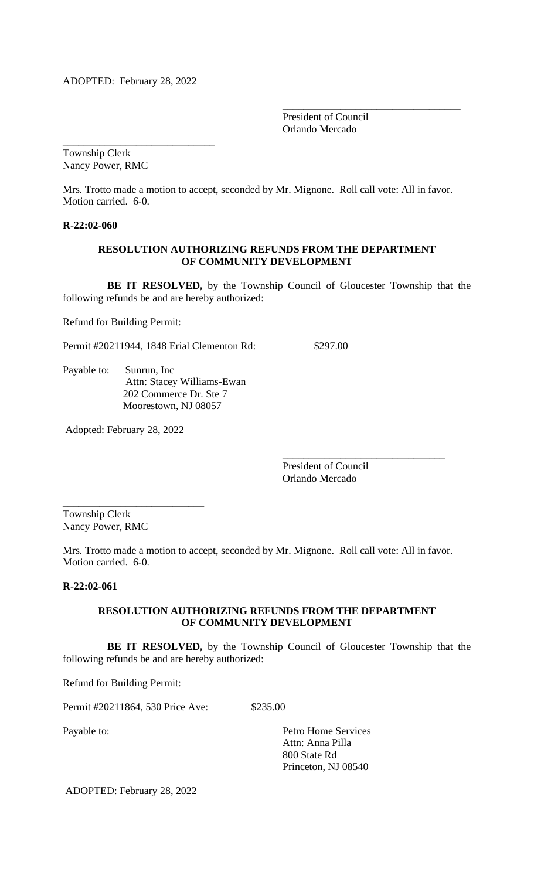\_\_\_\_\_\_\_\_\_\_\_\_\_\_\_\_\_\_\_\_\_\_\_\_\_\_\_\_\_

President of Council Orlando Mercado

\_\_\_\_\_\_\_\_\_\_\_\_\_\_\_\_\_\_\_\_\_\_\_\_\_\_\_\_\_\_\_\_\_\_

Township Clerk Nancy Power, RMC

Mrs. Trotto made a motion to accept, seconded by Mr. Mignone. Roll call vote: All in favor. Motion carried. 6-0.

**R-22:02-060**

### **RESOLUTION AUTHORIZING REFUNDS FROM THE DEPARTMENT OF COMMUNITY DEVELOPMENT**

 **BE IT RESOLVED,** by the Township Council of Gloucester Township that the following refunds be and are hereby authorized:

Refund for Building Permit:

Permit #20211944, 1848 Erial Clementon Rd: \$297.00

Payable to: Sunrun, Inc Attn: Stacey Williams-Ewan 202 Commerce Dr. Ste 7 Moorestown, NJ 08057

Adopted: February 28, 2022

\_\_\_\_\_\_\_\_\_\_\_\_\_\_\_\_\_\_\_\_\_\_\_\_\_\_\_

President of Council Orlando Mercado

\_\_\_\_\_\_\_\_\_\_\_\_\_\_\_\_\_\_\_\_\_\_\_\_\_\_\_\_\_\_\_

Township Clerk Nancy Power, RMC

Mrs. Trotto made a motion to accept, seconded by Mr. Mignone. Roll call vote: All in favor. Motion carried. 6-0.

# **R-22:02-061**

### **RESOLUTION AUTHORIZING REFUNDS FROM THE DEPARTMENT OF COMMUNITY DEVELOPMENT**

 **BE IT RESOLVED,** by the Township Council of Gloucester Township that the following refunds be and are hereby authorized:

Refund for Building Permit:

Permit #20211864, 530 Price Ave: \$235.00

Payable to: Petro Home Services Attn: Anna Pilla 800 State Rd Princeton, NJ 08540

ADOPTED: February 28, 2022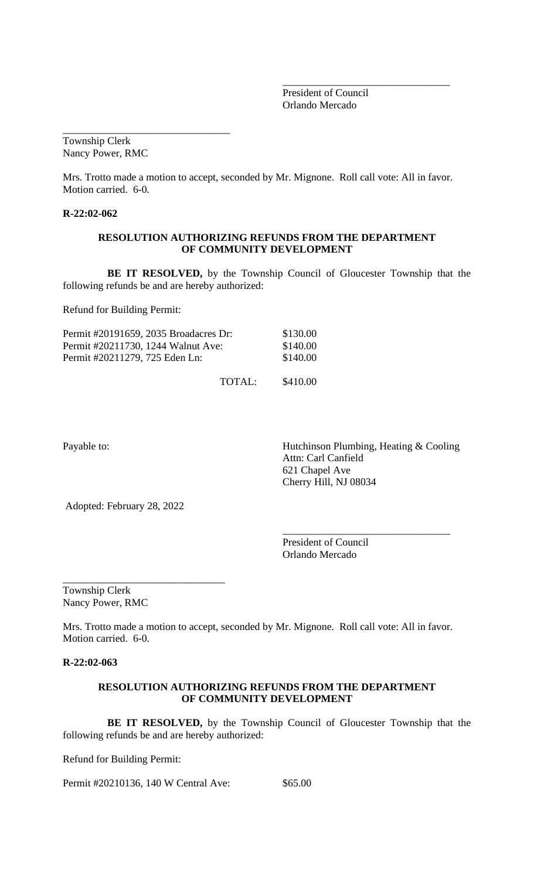President of Council Orlando Mercado

\_\_\_\_\_\_\_\_\_\_\_\_\_\_\_\_\_\_\_\_\_\_\_\_\_\_\_\_\_\_\_\_

\_\_\_\_\_\_\_\_\_\_\_\_\_\_\_\_\_\_\_\_\_\_\_\_\_\_\_\_\_\_\_\_ Township Clerk Nancy Power, RMC

Mrs. Trotto made a motion to accept, seconded by Mr. Mignone. Roll call vote: All in favor. Motion carried. 6-0.

**R-22:02-062**

### **RESOLUTION AUTHORIZING REFUNDS FROM THE DEPARTMENT OF COMMUNITY DEVELOPMENT**

 **BE IT RESOLVED,** by the Township Council of Gloucester Township that the following refunds be and are hereby authorized:

Refund for Building Permit:

| Permit #20191659, 2035 Broadacres Dr: |        | \$130.00 |
|---------------------------------------|--------|----------|
| Permit #20211730, 1244 Walnut Ave:    |        | \$140.00 |
| Permit #20211279, 725 Eden Ln:        |        | \$140.00 |
|                                       | TOTAL: | \$410.00 |

Payable to: **Hutchinson Plumbing, Heating & Cooling**  Attn: Carl Canfield 621 Chapel Ave Cherry Hill, NJ 08034

\_\_\_\_\_\_\_\_\_\_\_\_\_\_\_\_\_\_\_\_\_\_\_\_\_\_\_\_\_\_\_\_

Adopted: February 28, 2022

\_\_\_\_\_\_\_\_\_\_\_\_\_\_\_\_\_\_\_\_\_\_\_\_\_\_\_\_\_\_\_

President of Council Orlando Mercado

Township Clerk Nancy Power, RMC

Mrs. Trotto made a motion to accept, seconded by Mr. Mignone. Roll call vote: All in favor. Motion carried. 6-0.

**R-22:02-063**

### **RESOLUTION AUTHORIZING REFUNDS FROM THE DEPARTMENT OF COMMUNITY DEVELOPMENT**

 **BE IT RESOLVED,** by the Township Council of Gloucester Township that the following refunds be and are hereby authorized:

Refund for Building Permit:

Permit #20210136, 140 W Central Ave: \$65.00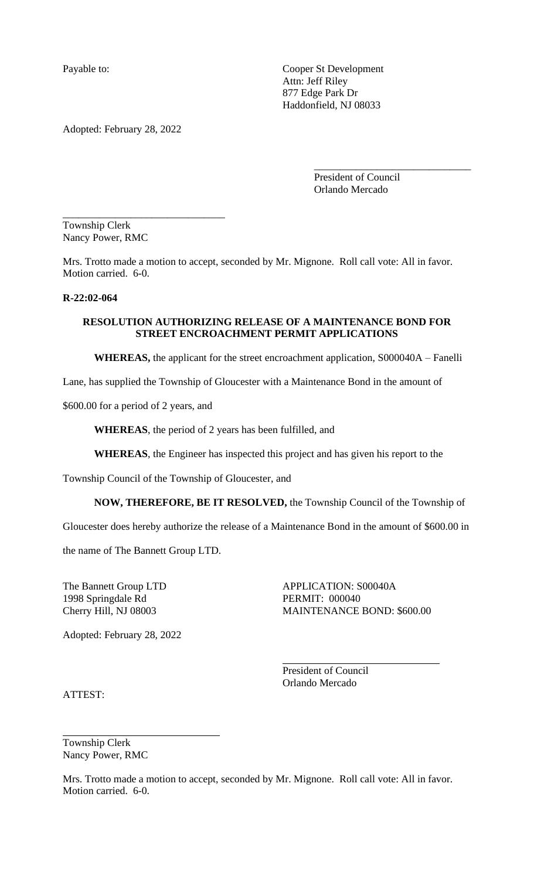Payable to: Cooper St Development Attn: Jeff Riley 877 Edge Park Dr Haddonfield, NJ 08033

Adopted: February 28, 2022

\_\_\_\_\_\_\_\_\_\_\_\_\_\_\_\_\_\_\_\_\_\_\_\_\_\_\_\_\_\_\_

President of Council Orlando Mercado

\_\_\_\_\_\_\_\_\_\_\_\_\_\_\_\_\_\_\_\_\_\_\_\_\_\_\_\_\_\_

Township Clerk Nancy Power, RMC

Mrs. Trotto made a motion to accept, seconded by Mr. Mignone. Roll call vote: All in favor. Motion carried. 6-0.

### **R-22:02-064**

# **RESOLUTION AUTHORIZING RELEASE OF A MAINTENANCE BOND FOR STREET ENCROACHMENT PERMIT APPLICATIONS**

**WHEREAS,** the applicant for the street encroachment application, S000040A – Fanelli

Lane, has supplied the Township of Gloucester with a Maintenance Bond in the amount of

\$600.00 for a period of 2 years, and

**WHEREAS**, the period of 2 years has been fulfilled, and

**WHEREAS**, the Engineer has inspected this project and has given his report to the

Township Council of the Township of Gloucester, and

**NOW, THEREFORE, BE IT RESOLVED,** the Township Council of the Township of

Gloucester does hereby authorize the release of a Maintenance Bond in the amount of \$600.00 in

the name of The Bannett Group LTD.

1998 Springdale Rd PERMIT: 000040

The Bannett Group LTD APPLICATION: S00040A Cherry Hill, NJ 08003 MAINTENANCE BOND: \$600.00

l,

Adopted: February 28, 2022

President of Council Orlando Mercado

ATTEST:

Township Clerk Nancy Power, RMC

Mrs. Trotto made a motion to accept, seconded by Mr. Mignone. Roll call vote: All in favor. Motion carried. 6-0.

l,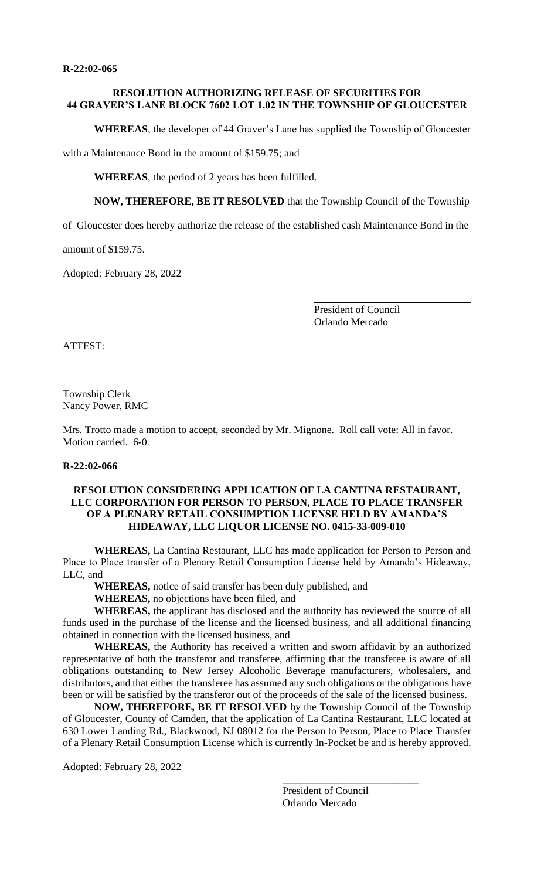### **RESOLUTION AUTHORIZING RELEASE OF SECURITIES FOR 44 GRAVER'S LANE BLOCK 7602 LOT 1.02 IN THE TOWNSHIP OF GLOUCESTER**

**WHEREAS**, the developer of 44 Graver's Lane has supplied the Township of Gloucester

with a Maintenance Bond in the amount of \$159.75; and

**WHEREAS**, the period of 2 years has been fulfilled.

**NOW, THEREFORE, BE IT RESOLVED** that the Township Council of the Township

of Gloucester does hereby authorize the release of the established cash Maintenance Bond in the

amount of \$159.75.

Adopted: February 28, 2022

President of Council Orlando Mercado

ATTEST:

Township Clerk Nancy Power, RMC

Mrs. Trotto made a motion to accept, seconded by Mr. Mignone. Roll call vote: All in favor. Motion carried. 6-0.

#### **R-22:02-066**

### **RESOLUTION CONSIDERING APPLICATION OF LA CANTINA RESTAURANT, LLC CORPORATION FOR PERSON TO PERSON, PLACE TO PLACE TRANSFER OF A PLENARY RETAIL CONSUMPTION LICENSE HELD BY AMANDA'S HIDEAWAY, LLC LIQUOR LICENSE NO. 0415-33-009-010**

**WHEREAS,** La Cantina Restaurant, LLC has made application for Person to Person and Place to Place transfer of a Plenary Retail Consumption License held by Amanda's Hideaway, LLC, and

**WHEREAS,** notice of said transfer has been duly published, and

**WHEREAS,** no objections have been filed, and

**WHEREAS,** the applicant has disclosed and the authority has reviewed the source of all funds used in the purchase of the license and the licensed business, and all additional financing obtained in connection with the licensed business, and

**WHEREAS,** the Authority has received a written and sworn affidavit by an authorized representative of both the transferor and transferee, affirming that the transferee is aware of all obligations outstanding to New Jersey Alcoholic Beverage manufacturers, wholesalers, and distributors, and that either the transferee has assumed any such obligations or the obligations have been or will be satisfied by the transferor out of the proceeds of the sale of the licensed business.

**NOW, THEREFORE, BE IT RESOLVED** by the Township Council of the Township of Gloucester, County of Camden, that the application of La Cantina Restaurant, LLC located at 630 Lower Landing Rd., Blackwood, NJ 08012 for the Person to Person, Place to Place Transfer of a Plenary Retail Consumption License which is currently In-Pocket be and is hereby approved.

Adopted: February 28, 2022

President of Council Orlando Mercado

\_\_\_\_\_\_\_\_\_\_\_\_\_\_\_\_\_\_\_\_\_\_\_\_\_\_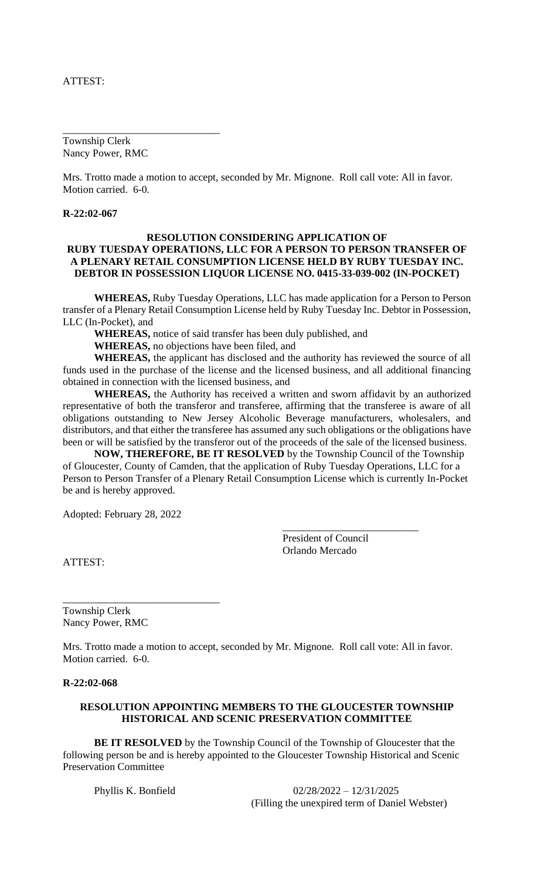## ATTEST:

Township Clerk Nancy Power, RMC

\_\_\_\_\_\_\_\_\_\_\_\_\_\_\_\_\_\_\_\_\_\_\_\_\_\_\_\_\_\_

Mrs. Trotto made a motion to accept, seconded by Mr. Mignone. Roll call vote: All in favor. Motion carried. 6-0.

#### **R-22:02-067**

### **RESOLUTION CONSIDERING APPLICATION OF RUBY TUESDAY OPERATIONS, LLC FOR A PERSON TO PERSON TRANSFER OF A PLENARY RETAIL CONSUMPTION LICENSE HELD BY RUBY TUESDAY INC. DEBTOR IN POSSESSION LIQUOR LICENSE NO. 0415-33-039-002 (IN-POCKET)**

**WHEREAS,** Ruby Tuesday Operations, LLC has made application for a Person to Person transfer of a Plenary Retail Consumption License held by Ruby Tuesday Inc. Debtor in Possession, LLC (In-Pocket), and

**WHEREAS,** notice of said transfer has been duly published, and

**WHEREAS,** no objections have been filed, and

**WHEREAS,** the applicant has disclosed and the authority has reviewed the source of all funds used in the purchase of the license and the licensed business, and all additional financing obtained in connection with the licensed business, and

**WHEREAS,** the Authority has received a written and sworn affidavit by an authorized representative of both the transferor and transferee, affirming that the transferee is aware of all obligations outstanding to New Jersey Alcoholic Beverage manufacturers, wholesalers, and distributors, and that either the transferee has assumed any such obligations or the obligations have been or will be satisfied by the transferor out of the proceeds of the sale of the licensed business.

**NOW, THEREFORE, BE IT RESOLVED** by the Township Council of the Township of Gloucester, County of Camden, that the application of Ruby Tuesday Operations, LLC for a Person to Person Transfer of a Plenary Retail Consumption License which is currently In-Pocket be and is hereby approved.

Adopted: February 28, 2022

\_\_\_\_\_\_\_\_\_\_\_\_\_\_\_\_\_\_\_\_\_\_\_\_\_\_\_\_\_\_

President of Council Orlando Mercado

\_\_\_\_\_\_\_\_\_\_\_\_\_\_\_\_\_\_\_\_\_\_\_\_\_\_

ATTEST:

Township Clerk Nancy Power, RMC

Mrs. Trotto made a motion to accept, seconded by Mr. Mignone. Roll call vote: All in favor. Motion carried. 6-0.

#### **R-22:02-068**

#### **RESOLUTION APPOINTING MEMBERS TO THE GLOUCESTER TOWNSHIP HISTORICAL AND SCENIC PRESERVATION COMMITTEE**

**BE IT RESOLVED** by the Township Council of the Township of Gloucester that the following person be and is hereby appointed to the Gloucester Township Historical and Scenic Preservation Committee

Phyllis K. Bonfield 02/28/2022 – 12/31/2025 (Filling the unexpired term of Daniel Webster)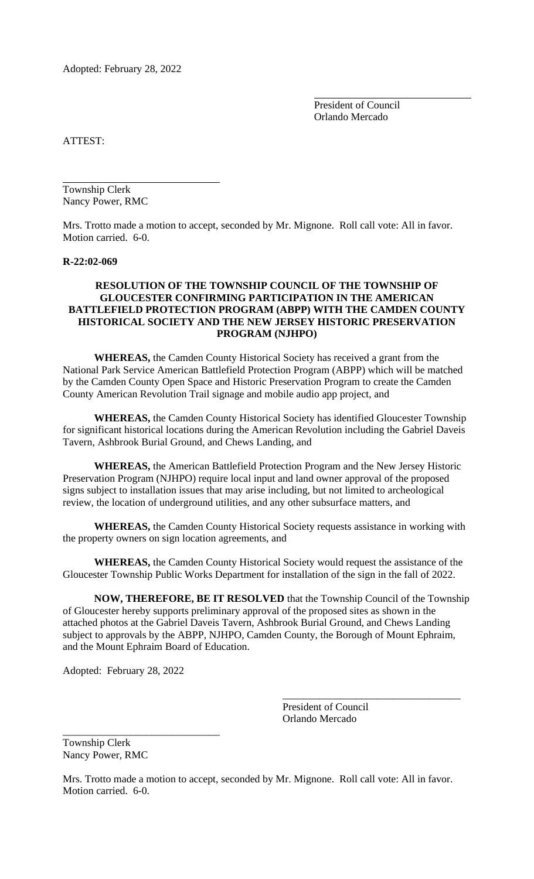Adopted: February 28, 2022

President of Council Orlando Mercado

ATTEST:

Township Clerk Nancy Power, RMC

Mrs. Trotto made a motion to accept, seconded by Mr. Mignone. Roll call vote: All in favor. Motion carried. 6-0.

#### **R-22:02-069**

# **RESOLUTION OF THE TOWNSHIP COUNCIL OF THE TOWNSHIP OF GLOUCESTER CONFIRMING PARTICIPATION IN THE AMERICAN BATTLEFIELD PROTECTION PROGRAM (ABPP) WITH THE CAMDEN COUNTY HISTORICAL SOCIETY AND THE NEW JERSEY HISTORIC PRESERVATION PROGRAM (NJHPO)**

**WHEREAS,** the Camden County Historical Society has received a grant from the National Park Service American Battlefield Protection Program (ABPP) which will be matched by the Camden County Open Space and Historic Preservation Program to create the Camden County American Revolution Trail signage and mobile audio app project, and

**WHEREAS,** the Camden County Historical Society has identified Gloucester Township for significant historical locations during the American Revolution including the Gabriel Daveis Tavern, Ashbrook Burial Ground, and Chews Landing, and

**WHEREAS,** the American Battlefield Protection Program and the New Jersey Historic Preservation Program (NJHPO) require local input and land owner approval of the proposed signs subject to installation issues that may arise including, but not limited to archeological review, the location of underground utilities, and any other subsurface matters, and

**WHEREAS,** the Camden County Historical Society requests assistance in working with the property owners on sign location agreements, and

**WHEREAS,** the Camden County Historical Society would request the assistance of the Gloucester Township Public Works Department for installation of the sign in the fall of 2022.

**NOW, THEREFORE, BE IT RESOLVED** that the Township Council of the Township of Gloucester hereby supports preliminary approval of the proposed sites as shown in the attached photos at the Gabriel Daveis Tavern, Ashbrook Burial Ground, and Chews Landing subject to approvals by the ABPP, NJHPO, Camden County, the Borough of Mount Ephraim, and the Mount Ephraim Board of Education.

Adopted: February 28, 2022

\_\_\_\_\_\_\_\_\_\_\_\_\_\_\_\_\_\_\_\_\_\_\_\_\_\_\_\_\_\_

President of Council Orlando Mercado

\_\_\_\_\_\_\_\_\_\_\_\_\_\_\_\_\_\_\_\_\_\_\_\_\_\_\_\_\_\_\_\_\_\_

Township Clerk Nancy Power, RMC

Mrs. Trotto made a motion to accept, seconded by Mr. Mignone. Roll call vote: All in favor. Motion carried. 6-0.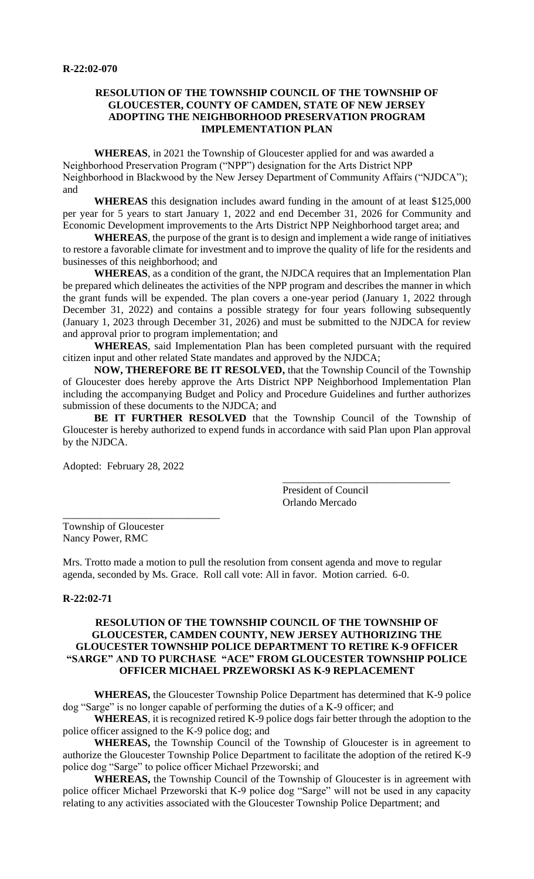### **RESOLUTION OF THE TOWNSHIP COUNCIL OF THE TOWNSHIP OF GLOUCESTER, COUNTY OF CAMDEN, STATE OF NEW JERSEY ADOPTING THE NEIGHBORHOOD PRESERVATION PROGRAM IMPLEMENTATION PLAN**

**WHEREAS**, in 2021 the Township of Gloucester applied for and was awarded a Neighborhood Preservation Program ("NPP") designation for the Arts District NPP Neighborhood in Blackwood by the New Jersey Department of Community Affairs ("NJDCA"); and

**WHEREAS** this designation includes award funding in the amount of at least \$125,000 per year for 5 years to start January 1, 2022 and end December 31, 2026 for Community and Economic Development improvements to the Arts District NPP Neighborhood target area; and

**WHEREAS**, the purpose of the grant is to design and implement a wide range of initiatives to restore a favorable climate for investment and to improve the quality of life for the residents and businesses of this neighborhood; and

**WHEREAS**, as a condition of the grant, the NJDCA requires that an Implementation Plan be prepared which delineates the activities of the NPP program and describes the manner in which the grant funds will be expended. The plan covers a one-year period (January 1, 2022 through December 31, 2022) and contains a possible strategy for four years following subsequently (January 1, 2023 through December 31, 2026) and must be submitted to the NJDCA for review and approval prior to program implementation; and

**WHEREAS**, said Implementation Plan has been completed pursuant with the required citizen input and other related State mandates and approved by the NJDCA;

**NOW, THEREFORE BE IT RESOLVED,** that the Township Council of the Township of Gloucester does hereby approve the Arts District NPP Neighborhood Implementation Plan including the accompanying Budget and Policy and Procedure Guidelines and further authorizes submission of these documents to the NJDCA; and

**BE IT FURTHER RESOLVED** that the Township Council of the Township of Gloucester is hereby authorized to expend funds in accordance with said Plan upon Plan approval by the NJDCA.

Adopted: February 28, 2022

\_\_\_\_\_\_\_\_\_\_\_\_\_\_\_\_\_\_\_\_\_\_\_\_\_\_\_\_\_\_

President of Council Orlando Mercado

\_\_\_\_\_\_\_\_\_\_\_\_\_\_\_\_\_\_\_\_\_\_\_\_\_\_\_\_\_\_\_\_

Township of Gloucester Nancy Power, RMC

Mrs. Trotto made a motion to pull the resolution from consent agenda and move to regular agenda, seconded by Ms. Grace. Roll call vote: All in favor. Motion carried. 6-0.

#### **R-22:02-71**

# **RESOLUTION OF THE TOWNSHIP COUNCIL OF THE TOWNSHIP OF GLOUCESTER, CAMDEN COUNTY, NEW JERSEY AUTHORIZING THE GLOUCESTER TOWNSHIP POLICE DEPARTMENT TO RETIRE K-9 OFFICER "SARGE" AND TO PURCHASE "ACE" FROM GLOUCESTER TOWNSHIP POLICE OFFICER MICHAEL PRZEWORSKI AS K-9 REPLACEMENT**

**WHEREAS,** the Gloucester Township Police Department has determined that K-9 police dog "Sarge" is no longer capable of performing the duties of a K-9 officer; and

**WHEREAS**, it is recognized retired K-9 police dogs fair better through the adoption to the police officer assigned to the K-9 police dog; and

**WHEREAS,** the Township Council of the Township of Gloucester is in agreement to authorize the Gloucester Township Police Department to facilitate the adoption of the retired K-9 police dog "Sarge" to police officer Michael Przeworski; and

**WHEREAS,** the Township Council of the Township of Gloucester is in agreement with police officer Michael Przeworski that K-9 police dog "Sarge" will not be used in any capacity relating to any activities associated with the Gloucester Township Police Department; and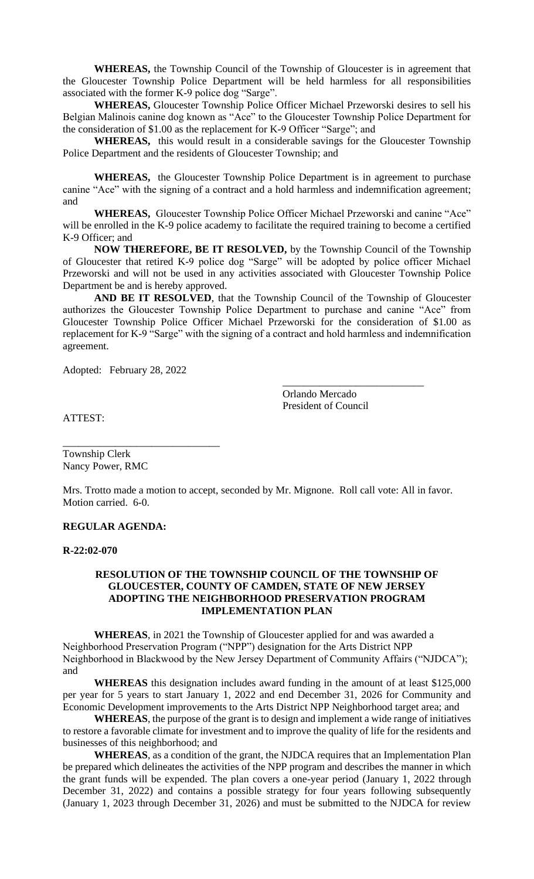**WHEREAS,** the Township Council of the Township of Gloucester is in agreement that the Gloucester Township Police Department will be held harmless for all responsibilities associated with the former K-9 police dog "Sarge".

**WHEREAS,** Gloucester Township Police Officer Michael Przeworski desires to sell his Belgian Malinois canine dog known as "Ace" to the Gloucester Township Police Department for the consideration of \$1.00 as the replacement for K-9 Officer "Sarge"; and

**WHEREAS,** this would result in a considerable savings for the Gloucester Township Police Department and the residents of Gloucester Township; and

**WHEREAS,** the Gloucester Township Police Department is in agreement to purchase canine "Ace" with the signing of a contract and a hold harmless and indemnification agreement; and

**WHEREAS,** Gloucester Township Police Officer Michael Przeworski and canine "Ace" will be enrolled in the K-9 police academy to facilitate the required training to become a certified K-9 Officer; and

**NOW THEREFORE, BE IT RESOLVED,** by the Township Council of the Township of Gloucester that retired K-9 police dog "Sarge" will be adopted by police officer Michael Przeworski and will not be used in any activities associated with Gloucester Township Police Department be and is hereby approved.

**AND BE IT RESOLVED**, that the Township Council of the Township of Gloucester authorizes the Gloucester Township Police Department to purchase and canine "Ace" from Gloucester Township Police Officer Michael Przeworski for the consideration of \$1.00 as replacement for K-9 "Sarge" with the signing of a contract and hold harmless and indemnification agreement.

Adopted: February 28, 2022

\_\_\_\_\_\_\_\_\_\_\_\_\_\_\_\_\_\_\_\_\_\_\_\_\_\_\_\_\_\_

Orlando Mercado President of Council

\_\_\_\_\_\_\_\_\_\_\_\_\_\_\_\_\_\_\_\_\_\_\_\_\_\_\_

ATTEST:

Township Clerk Nancy Power, RMC

Mrs. Trotto made a motion to accept, seconded by Mr. Mignone. Roll call vote: All in favor. Motion carried. 6-0.

# **REGULAR AGENDA:**

#### **R-22:02-070**

## **RESOLUTION OF THE TOWNSHIP COUNCIL OF THE TOWNSHIP OF GLOUCESTER, COUNTY OF CAMDEN, STATE OF NEW JERSEY ADOPTING THE NEIGHBORHOOD PRESERVATION PROGRAM IMPLEMENTATION PLAN**

**WHEREAS**, in 2021 the Township of Gloucester applied for and was awarded a Neighborhood Preservation Program ("NPP") designation for the Arts District NPP Neighborhood in Blackwood by the New Jersey Department of Community Affairs ("NJDCA"); and

**WHEREAS** this designation includes award funding in the amount of at least \$125,000 per year for 5 years to start January 1, 2022 and end December 31, 2026 for Community and Economic Development improvements to the Arts District NPP Neighborhood target area; and

**WHEREAS**, the purpose of the grant is to design and implement a wide range of initiatives to restore a favorable climate for investment and to improve the quality of life for the residents and businesses of this neighborhood; and

**WHEREAS**, as a condition of the grant, the NJDCA requires that an Implementation Plan be prepared which delineates the activities of the NPP program and describes the manner in which the grant funds will be expended. The plan covers a one-year period (January 1, 2022 through December 31, 2022) and contains a possible strategy for four years following subsequently (January 1, 2023 through December 31, 2026) and must be submitted to the NJDCA for review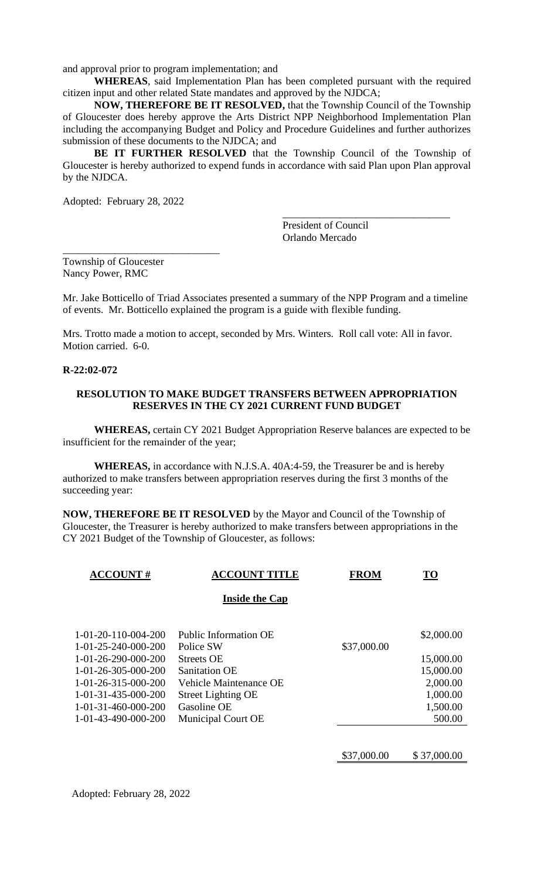and approval prior to program implementation; and

**WHEREAS**, said Implementation Plan has been completed pursuant with the required citizen input and other related State mandates and approved by the NJDCA;

**NOW, THEREFORE BE IT RESOLVED,** that the Township Council of the Township of Gloucester does hereby approve the Arts District NPP Neighborhood Implementation Plan including the accompanying Budget and Policy and Procedure Guidelines and further authorizes submission of these documents to the NJDCA; and

**BE IT FURTHER RESOLVED** that the Township Council of the Township of Gloucester is hereby authorized to expend funds in accordance with said Plan upon Plan approval by the NJDCA.

Adopted: February 28, 2022

\_\_\_\_\_\_\_\_\_\_\_\_\_\_\_\_\_\_\_\_\_\_\_\_\_\_\_\_\_\_

President of Council Orlando Mercado

\_\_\_\_\_\_\_\_\_\_\_\_\_\_\_\_\_\_\_\_\_\_\_\_\_\_\_\_\_\_\_\_

Township of Gloucester Nancy Power, RMC

Mr. Jake Botticello of Triad Associates presented a summary of the NPP Program and a timeline of events. Mr. Botticello explained the program is a guide with flexible funding.

Mrs. Trotto made a motion to accept, seconded by Mrs. Winters. Roll call vote: All in favor. Motion carried. 6-0.

#### **R-22:02-072**

#### **RESOLUTION TO MAKE BUDGET TRANSFERS BETWEEN APPROPRIATION RESERVES IN THE CY 2021 CURRENT FUND BUDGET**

**WHEREAS,** certain CY 2021 Budget Appropriation Reserve balances are expected to be insufficient for the remainder of the year;

**WHEREAS,** in accordance with N.J.S.A. 40A:4-59, the Treasurer be and is hereby authorized to make transfers between appropriation reserves during the first 3 months of the succeeding year:

**NOW, THEREFORE BE IT RESOLVED** by the Mayor and Council of the Township of Gloucester, the Treasurer is hereby authorized to make transfers between appropriations in the CY 2021 Budget of the Township of Gloucester, as follows:

| <b>ACCOUNT#</b>                            | <b>ACCOUNT TITLE</b>               | <b>FROM</b> | <b>TO</b>  |
|--------------------------------------------|------------------------------------|-------------|------------|
|                                            | <b>Inside the Cap</b>              |             |            |
| 1-01-20-110-004-200<br>1-01-25-240-000-200 | Public Information OE<br>Police SW | \$37,000.00 | \$2,000.00 |
| 1-01-26-290-000-200                        | <b>Streets OE</b>                  |             | 15,000.00  |
| 1-01-26-305-000-200                        | <b>Sanitation OE</b>               |             | 15,000.00  |
| 1-01-26-315-000-200                        | Vehicle Maintenance OE             |             | 2,000.00   |
| 1-01-31-435-000-200                        | <b>Street Lighting OE</b>          |             | 1,000.00   |
| 1-01-31-460-000-200                        | Gasoline OE                        |             | 1,500.00   |
| 1-01-43-490-000-200                        | Municipal Court OE                 |             | 500.00     |
|                                            |                                    |             |            |

\$37,000.00 \$ 37,000.00

Adopted: February 28, 2022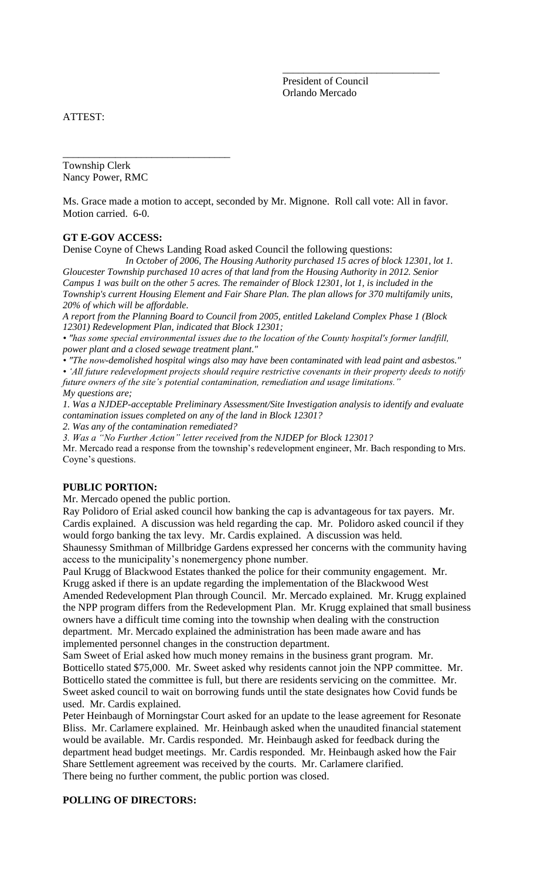President of Council Orlando Mercado

\_\_\_\_\_\_\_\_\_\_\_\_\_\_\_\_\_\_\_\_\_\_\_\_\_\_\_\_\_\_

ATTEST:

Township Clerk Nancy Power, RMC

\_\_\_\_\_\_\_\_\_\_\_\_\_\_\_\_\_\_\_\_\_\_\_\_\_\_\_\_\_\_\_\_

Ms. Grace made a motion to accept, seconded by Mr. Mignone. Roll call vote: All in favor. Motion carried. 6-0.

#### **GT E-GOV ACCESS:**

Denise Coyne of Chews Landing Road asked Council the following questions:

*In October of 2006, The Housing Authority purchased 15 acres of block 12301, lot 1. Gloucester Township purchased 10 acres of that land from the Housing Authority in 2012. Senior Campus 1 was built on the other 5 acres. The remainder of Block 12301, lot 1, is included in the* 

*Township's current Housing Element and Fair Share Plan. The plan allows for 370 multifamily units, 20% of which will be affordable.* 

*A report from the Planning Board to Council from 2005, entitled Lakeland Complex Phase 1 (Block 12301) Redevelopment Plan, indicated that Block 12301;*

*• "has some special environmental issues due to the location of the County hospital's former landfill, power plant and a closed sewage treatment plant."*

*• "The now-demolished hospital wings also may have been contaminated with lead paint and asbestos." • 'All future redevelopment projects should require restrictive covenants in their property deeds to notify future owners of the site's potential contamination, remediation and usage limitations." My questions are;*

*1. Was a NJDEP-acceptable Preliminary Assessment/Site Investigation analysis to identify and evaluate contamination issues completed on any of the land in Block 12301?*

*2. Was any of the contamination remediated?*

*3. Was a "No Further Action" letter received from the NJDEP for Block 12301?*

Mr. Mercado read a response from the township's redevelopment engineer, Mr. Bach responding to Mrs. Coyne's questions.

# **PUBLIC PORTION:**

Mr. Mercado opened the public portion.

Ray Polidoro of Erial asked council how banking the cap is advantageous for tax payers. Mr. Cardis explained. A discussion was held regarding the cap. Mr. Polidoro asked council if they would forgo banking the tax levy. Mr. Cardis explained. A discussion was held. Shaunessy Smithman of Millbridge Gardens expressed her concerns with the community having

access to the municipality's nonemergency phone number.

Paul Krugg of Blackwood Estates thanked the police for their community engagement. Mr. Krugg asked if there is an update regarding the implementation of the Blackwood West

Amended Redevelopment Plan through Council. Mr. Mercado explained. Mr. Krugg explained the NPP program differs from the Redevelopment Plan. Mr. Krugg explained that small business owners have a difficult time coming into the township when dealing with the construction department. Mr. Mercado explained the administration has been made aware and has implemented personnel changes in the construction department.

Sam Sweet of Erial asked how much money remains in the business grant program. Mr. Botticello stated \$75,000. Mr. Sweet asked why residents cannot join the NPP committee. Mr. Botticello stated the committee is full, but there are residents servicing on the committee. Mr. Sweet asked council to wait on borrowing funds until the state designates how Covid funds be used. Mr. Cardis explained.

Peter Heinbaugh of Morningstar Court asked for an update to the lease agreement for Resonate Bliss. Mr. Carlamere explained. Mr. Heinbaugh asked when the unaudited financial statement would be available. Mr. Cardis responded. Mr. Heinbaugh asked for feedback during the department head budget meetings. Mr. Cardis responded. Mr. Heinbaugh asked how the Fair Share Settlement agreement was received by the courts. Mr. Carlamere clarified. There being no further comment, the public portion was closed.

#### **POLLING OF DIRECTORS:**